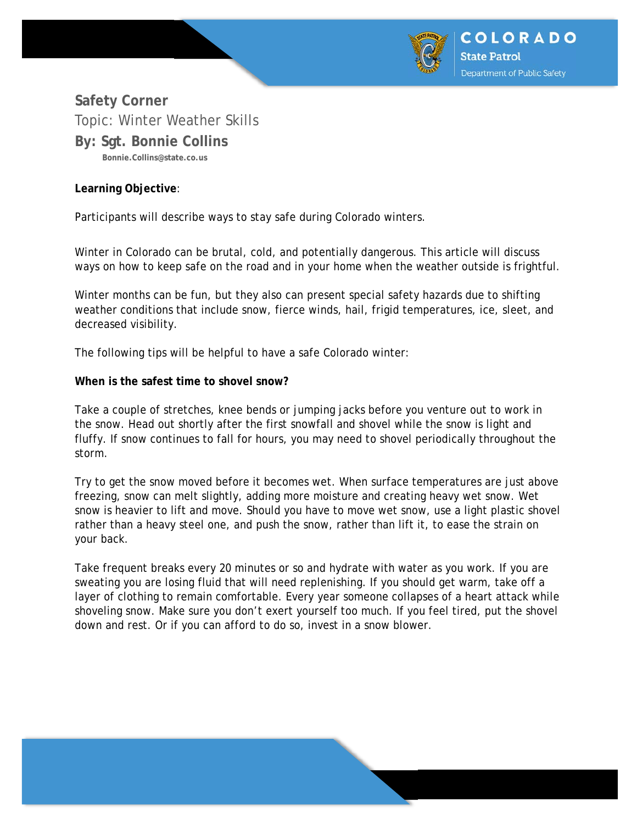

# **Safety Corner**  Topic: Winter Weather Skills **By: Sgt. Bonnie Collins Bonnie.Collins@state.co.us**

## **Learning Objective**:

Participants will describe ways to stay safe during Colorado winters.

Winter in Colorado can be brutal, cold, and potentially dangerous. This article will discuss ways on how to keep safe on the road and in your home when the weather outside is frightful.

Winter months can be fun, but they also can present special safety hazards due to shifting weather conditions that include snow, fierce winds, hail, frigid temperatures, ice, sleet, and decreased visibility.

The following tips will be helpful to have a safe Colorado winter:

#### **When is the safest time to shovel snow?**

Take a couple of stretches, knee bends or jumping jacks before you venture out to work in the snow. Head out shortly after the first snowfall and shovel while the snow is light and fluffy. If snow continues to fall for hours, you may need to shovel periodically throughout the storm.

Try to get the snow moved before it becomes wet. When surface temperatures are just above freezing, snow can melt slightly, adding more moisture and creating heavy wet snow. Wet snow is heavier to lift and move. Should you have to move wet snow, use a light plastic shovel rather than a heavy steel one, and push the snow, rather than lift it, to ease the strain on your back.

Take frequent breaks every 20 minutes or so and hydrate with water as you work. If you are sweating you are losing fluid that will need replenishing. If you should get warm, take off a layer of clothing to remain comfortable. Every year someone collapses of a heart attack while shoveling snow. Make sure you don't exert yourself too much. If you feel tired, put the shovel down and rest. Or if you can afford to do so, invest in a snow blower.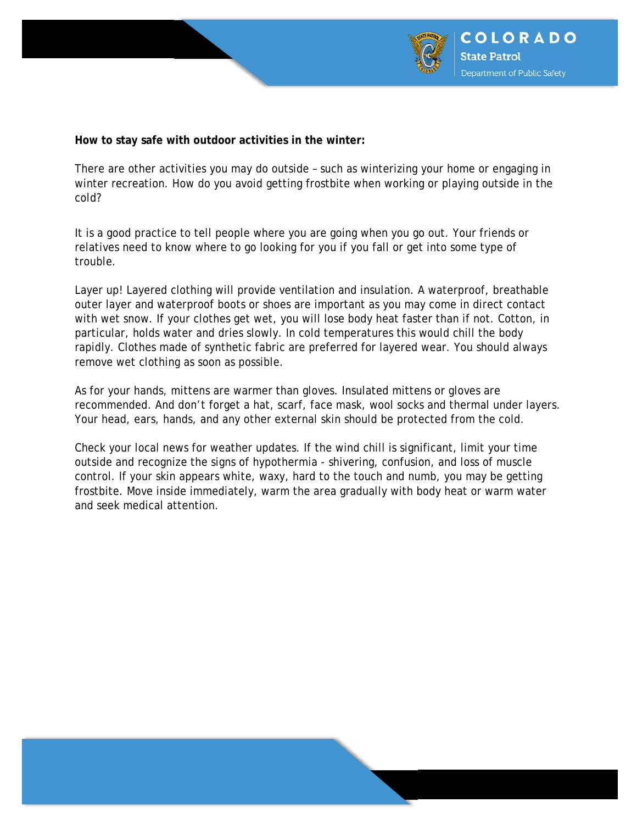

**How to stay safe with outdoor activities in the winter:** 

There are other activities you may do outside – such as winterizing your home or engaging in winter recreation. How do you avoid getting frostbite when working or playing outside in the cold?

It is a good practice to tell people where you are going when you go out. Your friends or relatives need to know where to go looking for you if you fall or get into some type of trouble.

Layer up! Layered clothing will provide ventilation and insulation. A waterproof, breathable outer layer and waterproof boots or shoes are important as you may come in direct contact with wet snow. If your clothes get wet, you will lose body heat faster than if not. Cotton, in particular, holds water and dries slowly. In cold temperatures this would chill the body rapidly. Clothes made of synthetic fabric are preferred for layered wear. You should always remove wet clothing as soon as possible.

As for your hands, mittens are warmer than gloves. Insulated mittens or gloves are recommended. And don't forget a hat, scarf, face mask, wool socks and thermal under layers. Your head, ears, hands, and any other external skin should be protected from the cold.

Check your local news for weather updates. If the wind chill is significant, limit your time outside and recognize the signs of hypothermia - shivering, confusion, and loss of muscle control. If your skin appears white, waxy, hard to the touch and numb, you may be getting frostbite. Move inside immediately, warm the area gradually with body heat or warm water and seek medical attention.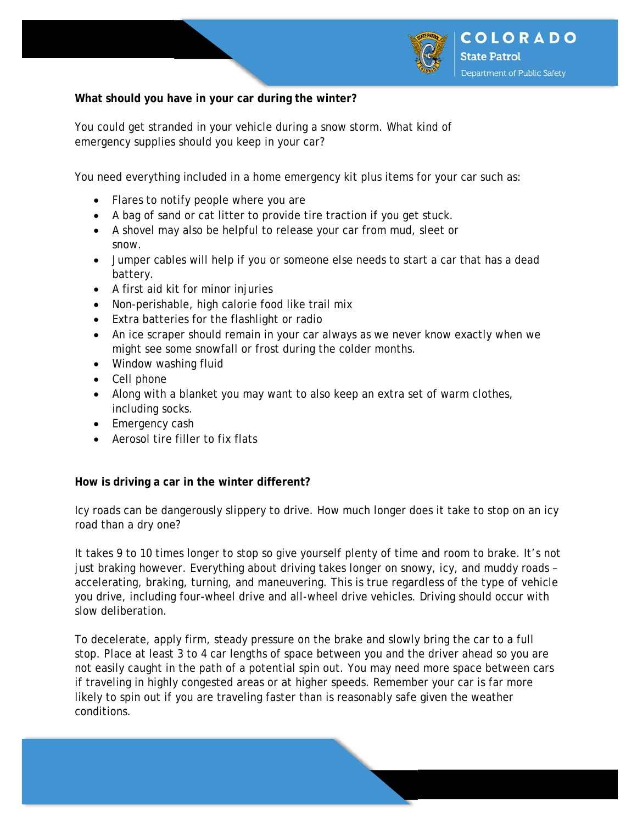

# **What should you have in your car during the winter?**

You could get stranded in your vehicle during a snow storm. What kind of emergency supplies should you keep in your car?

You need everything included in a home emergency kit plus items for your car such as:

- Flares to notify people where you are
- A bag of sand or cat litter to provide tire traction if you get stuck.
- A shovel may also be helpful to release your car from mud, sleet or snow.
- Jumper cables will help if you or someone else needs to start a car that has a dead battery.
- A first aid kit for minor injuries
- Non-perishable, high calorie food like trail mix
- Extra batteries for the flashlight or radio
- An ice scraper should remain in your car always as we never know exactly when we might see some snowfall or frost during the colder months.
- Window washing fluid
- Cell phone
- Along with a blanket you may want to also keep an extra set of warm clothes, including socks.
- Emergency cash
- Aerosol tire filler to fix flats

### **How is driving a car in the winter different?**

Icy roads can be dangerously slippery to drive. How much longer does it take to stop on an icy road than a dry one?

It takes 9 to 10 times longer to stop so give yourself plenty of time and room to brake. It's not just braking however. Everything about driving takes longer on snowy, icy, and muddy roads – accelerating, braking, turning, and maneuvering. This is true regardless of the type of vehicle you drive, including four-wheel drive and all-wheel drive vehicles. Driving should occur with slow deliberation.

To decelerate, apply firm, steady pressure on the brake and slowly bring the car to a full stop. Place at least 3 to 4 car lengths of space between you and the driver ahead so you are not easily caught in the path of a potential spin out. You may need more space between cars if traveling in highly congested areas or at higher speeds. Remember your car is far more likely to spin out if you are traveling faster than is reasonably safe given the weather conditions.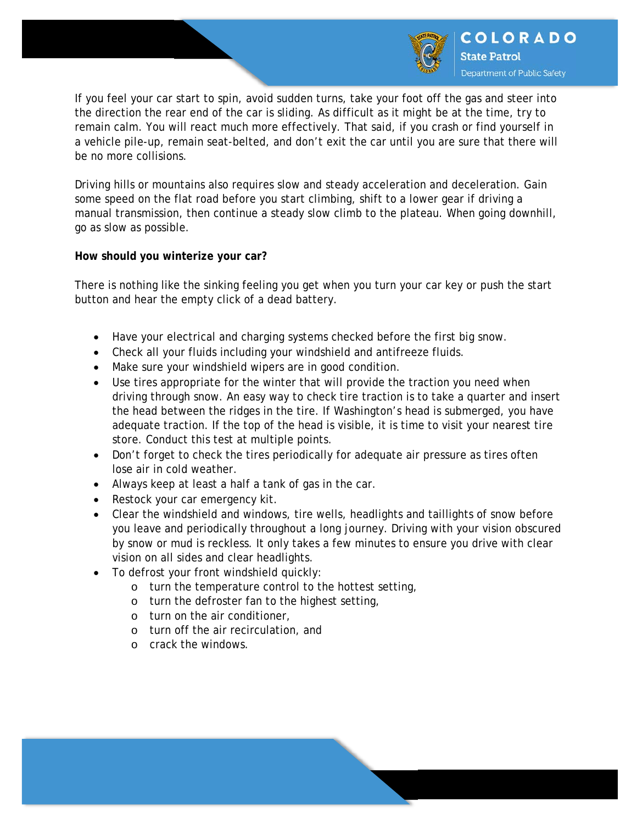

If you feel your car start to spin, avoid sudden turns, take your foot off the gas and steer into the direction the rear end of the car is sliding. As difficult as it might be at the time, try to remain calm. You will react much more effectively. That said, if you crash or find yourself in a vehicle pile-up, remain seat-belted, and don't exit the car until you are sure that there will be no more collisions.

Driving hills or mountains also requires slow and steady acceleration and deceleration. Gain some speed on the flat road before you start climbing, shift to a lower gear if driving a manual transmission, then continue a steady slow climb to the plateau. When going downhill, go as slow as possible.

### **How should you winterize your car?**

There is nothing like the sinking feeling you get when you turn your car key or push the start button and hear the empty click of a dead battery.

- Have your electrical and charging systems checked before the first big snow.
- Check all your fluids including your windshield and antifreeze fluids.
- Make sure your windshield wipers are in good condition.
- Use tires appropriate for the winter that will provide the traction you need when driving through snow. An easy way to check tire traction is to take a quarter and insert the head between the ridges in the tire. If Washington's head is submerged, you have adequate traction. If the top of the head is visible, it is time to visit your nearest tire store. Conduct this test at multiple points.
- Don't forget to check the tires periodically for adequate air pressure as tires often lose air in cold weather.
- Always keep at least a half a tank of gas in the car.
- Restock your car emergency kit.
- Clear the windshield and windows, tire wells, headlights and taillights of snow before you leave and periodically throughout a long journey. Driving with your vision obscured by snow or mud is reckless. It only takes a few minutes to ensure you drive with clear vision on all sides and clear headlights.
- To defrost your front windshield quickly:
	- o turn the temperature control to the hottest setting,
	- o turn the defroster fan to the highest setting,
	- o turn on the air conditioner,
	- o turn off the air recirculation, and
	- o crack the windows.